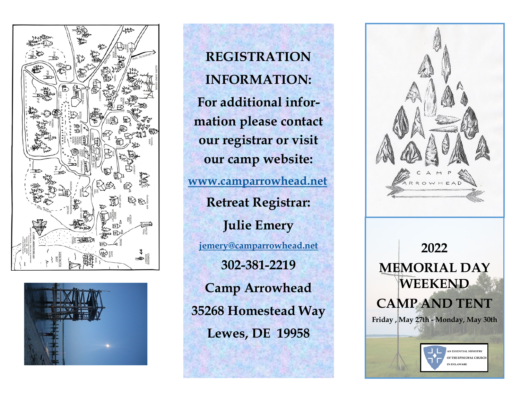



**REGISTRATION INFORMATION: For additional information please contact our registrar or visit our camp website: [www.camparrowhead.net](http://www.camparrowhead.net) Retreat Registrar: Julie Emery [jemery@camparrowhead.net](mailto:mredmond@camparrowhead.net) 302-381-2219 Camp Arrowhead 35268 Homestead Way Lewes, DE 19958**